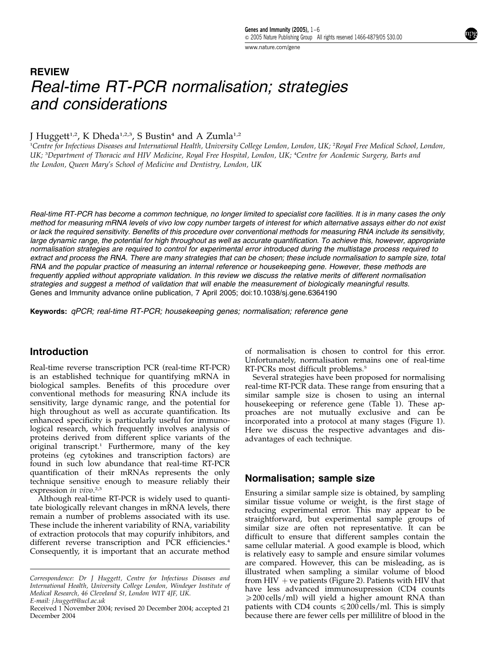# REVIEW Real-time RT-PCR normalisation; strategies and considerations

#### J Huggett<sup>1,2</sup>, K Dheda<sup>1,2,3</sup>, S Bustin<sup>4</sup> and A Zumla<sup>1,2</sup>

1 Centre for Infectious Diseases and International Health, University College London, London, UK; <sup>2</sup> Royal Free Medical School, London, UK; <sup>3</sup> Department of Thoracic and HIV Medicine, Royal Free Hospital, London, UK; <sup>4</sup> Centre for Academic Surgery, Barts and the London, Queen Mary's School of Medicine and Dentistry, London, UK

Real-time RT-PCR has become a common technique, no longer limited to specialist core facilities. It is in many cases the only method for measuring mRNA levels of vivo low copy number targets of interest for which alternative assays either do not exist or lack the required sensitivity. Benefits of this procedure over conventional methods for measuring RNA include its sensitivity, large dynamic range, the potential for high throughout as well as accurate quantification. To achieve this, however, appropriate normalisation strategies are required to control for experimental error introduced during the multistage process required to extract and process the RNA. There are many strategies that can be chosen; these include normalisation to sample size, total RNA and the popular practice of measuring an internal reference or housekeeping gene. However, these methods are frequently applied without appropriate validation. In this review we discuss the relative merits of different normalisation strategies and suggest a method of validation that will enable the measurement of biologically meaningful results. Genes and Immunity advance online publication, 7 April 2005; doi:10.1038/sj.gene.6364190

Keywords: qPCR; real-time RT-PCR; housekeeping genes; normalisation; reference gene

### Introduction

Real-time reverse transcription PCR (real-time RT-PCR) is an established technique for quantifying mRNA in biological samples. Benefits of this procedure over conventional methods for measuring RNA include its sensitivity, large dynamic range, and the potential for high throughout as well as accurate quantification. Its enhanced specificity is particularly useful for immunological research, which frequently involves analysis of proteins derived from different splice variants of the original transcript.<sup>1</sup> Furthermore, many of the key proteins (eg cytokines and transcription factors) are found in such low abundance that real-time RT-PCR quantification of their mRNAs represents the only technique sensitive enough to measure reliably their expression in vivo.<sup>2,3</sup>

Although real-time RT-PCR is widely used to quantitate biologically relevant changes in mRNA levels, there remain a number of problems associated with its use. These include the inherent variability of RNA, variability of extraction protocols that may copurify inhibitors, and different reverse transcription and PCR efficiencies.<sup>4</sup> Consequently, it is important that an accurate method of normalisation is chosen to control for this error. Unfortunately, normalisation remains one of real-time RT-PCRs most difficult problems.<sup>5</sup>

Several strategies have been proposed for normalising real-time RT-PCR data. These range from ensuring that a similar sample size is chosen to using an internal housekeeping or reference gene (Table 1). These approaches are not mutually exclusive and can be incorporated into a protocol at many stages (Figure 1). Here we discuss the respective advantages and disadvantages of each technique.

#### Normalisation; sample size

Ensuring a similar sample size is obtained, by sampling similar tissue volume or weight, is the first stage of reducing experimental error. This may appear to be straightforward, but experimental sample groups of similar size are often not representative. It can be difficult to ensure that different samples contain the same cellular material. A good example is blood, which is relatively easy to sample and ensure similar volumes are compared. However, this can be misleading, as is illustrated when sampling a similar volume of blood from  $HIV + ve$  patients (Figure 2). Patients with HIV that have less advanced immunosupression (CD4 counts  $\geq$ 200 cells/ml) will yield a higher amount RNA than patients with CD4 counts  $\leq 200$  cells/ml. This is simply

Correspondence: Dr J Huggett, Centre for Infectious Diseases and International Health, University College London, Windeyer Institute of Medical Research, 46 Cleveland St, London W1T 4JF, UK. E-mail: j.huggett@ucl.ac.uk

Received 1 November 2004; revised 20 December 2004; accepted 21 patients with CD4 counts  $\leq 200$  cells/ml. This is simply<br>December 2004 because there are fewer cells per millilitre of blood in the December 2004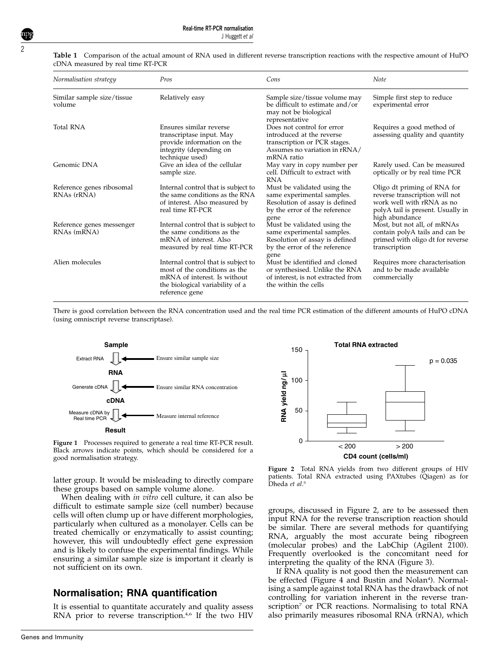| Table 1 Comparison of the actual amount of RNA used in different reverse transcription reactions with the respective amount of HuPO |  |  |
|-------------------------------------------------------------------------------------------------------------------------------------|--|--|
| cDNA measured by real time RT-PCR                                                                                                   |  |  |

| Normalisation strategy                   | Pros                                                                                                                                                      | Cons                                                                                                                                   | Note                                                                                                                                              |
|------------------------------------------|-----------------------------------------------------------------------------------------------------------------------------------------------------------|----------------------------------------------------------------------------------------------------------------------------------------|---------------------------------------------------------------------------------------------------------------------------------------------------|
| Similar sample size/tissue<br>volume     | Relatively easy                                                                                                                                           | Sample size/tissue volume may<br>be difficult to estimate and/or<br>may not be biological<br>representative                            | Simple first step to reduce<br>experimental error                                                                                                 |
| <b>Total RNA</b>                         | Ensures similar reverse<br>transcriptase input. May<br>provide information on the<br>integrity (depending on<br>technique used)                           | Does not control for error<br>introduced at the reverse<br>transcription or PCR stages.<br>Assumes no variation in rRNA/<br>mRNA ratio | Requires a good method of<br>assessing quality and quantity                                                                                       |
| Genomic DNA                              | Give an idea of the cellular<br>sample size.                                                                                                              | May vary in copy number per<br>cell. Difficult to extract with<br><b>RNA</b>                                                           | Rarely used. Can be measured<br>optically or by real time PCR                                                                                     |
| Reference genes ribosomal<br>RNAs (rRNA) | Internal control that is subject to<br>the same conditions as the RNA<br>of interest. Also measured by<br>real time RT-PCR                                | Must be validated using the<br>same experimental samples.<br>Resolution of assay is defined<br>by the error of the reference<br>gene   | Oligo dt priming of RNA for<br>reverse transcription will not<br>work well with rRNA as no<br>polyA tail is present. Usually in<br>high abundance |
| Reference genes messenger<br>RNAs (mRNA) | Internal control that is subject to<br>the same conditions as the<br>mRNA of interest. Also<br>measured by real time RT-PCR                               | Must be validated using the<br>same experimental samples.<br>Resolution of assay is defined<br>by the error of the reference<br>gene   | Most, but not all, of mRNAs<br>contain polyA tails and can be<br>primed with oligo dt for reverse<br>transcription                                |
| Alien molecules                          | Internal control that is subject to<br>most of the conditions as the<br>mRNA of interest. Is without<br>the biological variability of a<br>reference gene | Must be identified and cloned<br>or synthesised. Unlike the RNA<br>of interest, is not extracted from<br>the within the cells          | Requires more characterisation<br>and to be made available<br>commercially                                                                        |

There is good correlation between the RNA concentration used and the real time PCR estimation of the different amounts of HuPO cDNA (using omniscript reverse transcriptase).



Figure 1 Processes required to generate a real time RT-PCR result. Black arrows indicate points, which should be considered for a good normalisation strategy.

latter group. It would be misleading to directly compare these groups based on sample volume alone.

When dealing with in vitro cell culture, it can also be difficult to estimate sample size (cell number) because cells will often clump up or have different morphologies, particularly when cultured as a monolayer. Cells can be treated chemically or enzymatically to assist counting; however, this will undoubtedly effect gene expression and is likely to confuse the experimental findings. While ensuring a similar sample size is important it clearly is not sufficient on its own.

# Normalisation; RNA quantification

It is essential to quantitate accurately and quality assess RNA prior to reverse transcription.<sup>4,6</sup> If the two HIV



Figure 2 Total RNA yields from two different groups of HIV patients. Total RNA extracted using PAXtubes (Qiagen) as for Dheda et al.<sup>5</sup>

groups, discussed in Figure 2, are to be assessed then input RNA for the reverse transcription reaction should be similar. There are several methods for quantifying RNA, arguably the most accurate being ribogreen (molecular probes) and the LabChip (Agilent 2100). Frequently overlooked is the concomitant need for interpreting the quality of the RNA (Figure 3).

If RNA quality is not good then the measurement can be effected (Figure 4 and Bustin and Nolan<sup>4</sup>). Normalising a sample against total RNA has the drawback of not controlling for variation inherent in the reverse transcription $\overline{r}$  or PCR reactions. Normalising to total RNA also primarily measures ribosomal RNA (rRNA), which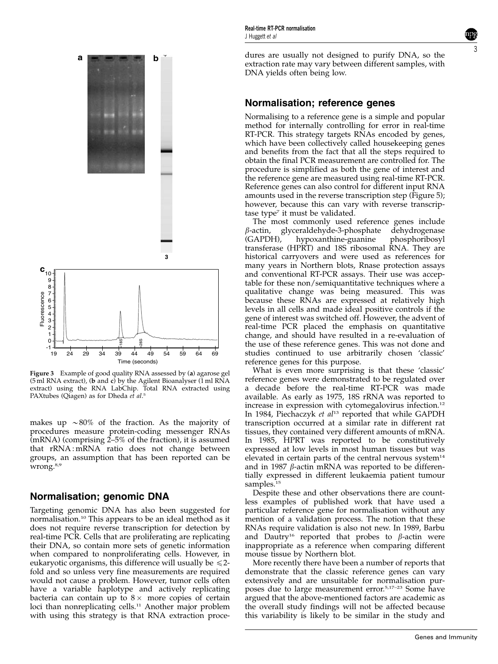

Figure 3 Example of good quality RNA assessed by (a) agarose gel (5 ml RNA extract), (b and c) by the Agilent Bioanalyser (1 ml RNA extract) using the RNA LabChip. Total RNA extracted using PAXtubes (Qiagen) as for Dheda et al.<sup>5</sup>

makes up  $\sim 80\%$  of the fraction. As the majority of procedures measure protein-coding messenger RNAs (mRNA) (comprising 2–5% of the fraction), it is assumed that rRNA : mRNA ratio does not change between groups, an assumption that has been reported can be wrong.<sup>8,9</sup>

#### Normalisation; genomic DNA

Targeting genomic DNA has also been suggested for normalisation.<sup>10</sup> This appears to be an ideal method as it does not require reverse transcription for detection by real-time PCR. Cells that are proliferating are replicating their DNA, so contain more sets of genetic information when compared to nonproliferating cells. However, in eukaryotic organisms, this difference will usually be  $\leq 2$ fold and so unless very fine measurements are required would not cause a problem. However, tumor cells often have a variable haplotype and actively replicating bacteria can contain up to  $8\times$  more copies of certain loci than nonreplicating cells.<sup>11</sup> Another major problem with using this strategy is that RNA extraction procedures are usually not designed to purify DNA, so the extraction rate may vary between different samples, with DNA yields often being low.

#### Normalisation; reference genes

Normalising to a reference gene is a simple and popular method for internally controlling for error in real-time RT-PCR. This strategy targets RNAs encoded by genes, which have been collectively called housekeeping genes and benefits from the fact that all the steps required to obtain the final PCR measurement are controlled for. The procedure is simplified as both the gene of interest and the reference gene are measured using real-time RT-PCR. Reference genes can also control for different input RNA amounts used in the reverse transcription step (Figure 5); however, because this can vary with reverse transcriptase type<sup> $7$ </sup> it must be validated.

The most commonly used reference genes include  $\beta$ -actin, glyceraldehyde-3-phosphate dehydrogenase<br>(GAPDH), hypoxanthine-guanine phosphoribosyl hypoxanthine-guanine phosphoribosyl transferase (HPRT) and 18S ribosomal RNA. They are historical carryovers and were used as references for many years in Northern blots, Rnase protection assays and conventional RT-PCR assays. Their use was acceptable for these non/semiquantitative techniques where a qualitative change was being measured. This was because these RNAs are expressed at relatively high levels in all cells and made ideal positive controls if the gene of interest was switched off. However, the advent of real-time PCR placed the emphasis on quantitative change, and should have resulted in a re-evaluation of the use of these reference genes. This was not done and studies continued to use arbitrarily chosen 'classic' reference genes for this purpose.

What is even more surprising is that these 'classic' reference genes were demonstrated to be regulated over a decade before the real-time RT-PCR was made available. As early as 1975, 18S rRNA was reported to increase in expression with cytomegalovirus infection.<sup>12</sup> In 1984, Piechaczyk et al<sup>13</sup> reported that while GAPDH transcription occurred at a similar rate in different rat tissues, they contained very different amounts of mRNA. In 1985, HPRT was reported to be constitutively expressed at low levels in most human tissues but was elevated in certain parts of the central nervous system $14$ and in 1987  $\beta$ -actin mRNA was reported to be differentially expressed in different leukaemia patient tumour samples.<sup>15</sup>

Despite these and other observations there are countless examples of published work that have used a particular reference gene for normalisation without any mention of a validation process. The notion that these RNAs require validation is also not new. In 1989, Barbu and Dautry<sup>16</sup> reported that probes to  $\beta$ -actin were inappropriate as a reference when comparing different mouse tissue by Northern blot.

More recently there have been a number of reports that demonstrate that the classic reference genes can vary extensively and are unsuitable for normalisation purposes due to large measurement error.<sup>5,17-23</sup> Some have argued that the above-mentioned factors are academic as the overall study findings will not be affected because this variability is likely to be similar in the study and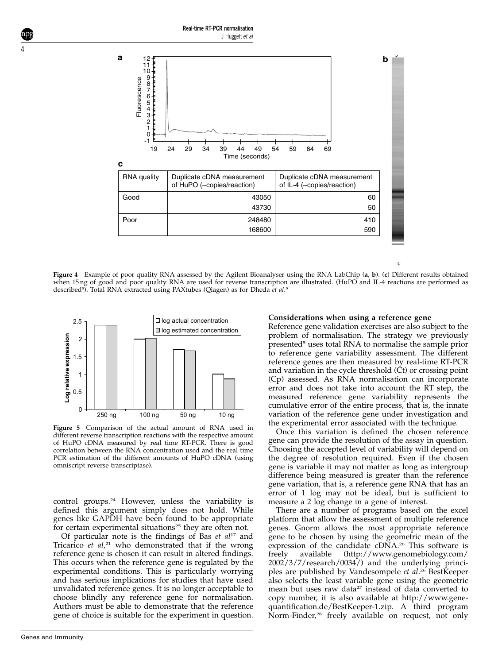Real-time RT-PCR normalisation J Huggett et al





Figure 4 Example of poor quality RNA assessed by the Agilent Bioanalyser using the RNA LabChip (a, b). (c) Different results obtained when 15 ng of good and poor quality RNA are used for reverse transcription are illustrated. (HuPO and IL-4 reactions are performed as described<sup>5</sup>). Total RNA extracted using PAXtubes (Qiagen) as for Dheda et al.<sup>5</sup>



Figure 5 Comparison of the actual amount of RNA used in different reverse transcription reactions with the respective amount of HuPO cDNA measured by real time RT-PCR. There is good correlation between the RNA concentration used and the real time PCR estimation of the different amounts of HuPO cDNA (using omniscript reverse transcriptase).

control groups.24 However, unless the variability is defined this argument simply does not hold. While genes like GAPDH have been found to be appropriate for certain experimental situations<sup>25</sup> they are often not.

Of particular note is the findings of Bas et  $al^{17}$  and Tricarico et al,<sup>21</sup> who demonstrated that if the wrong reference gene is chosen it can result in altered findings. This occurs when the reference gene is regulated by the experimental conditions. This is particularly worrying and has serious implications for studies that have used unvalidated reference genes. It is no longer acceptable to choose blindly any reference gene for normalisation. Authors must be able to demonstrate that the reference gene of choice is suitable for the experiment in question.

4

#### Considerations when using a reference gene

Reference gene validation exercises are also subject to the problem of normalisation. The strategy we previously presented<sup>5</sup> uses total RNA to normalise the sample prior to reference gene variability assessment. The different reference genes are then measured by real-time RT-PCR and variation in the cycle threshold (Ct) or crossing point (Cp) assessed. As RNA normalisation can incorporate error and does not take into account the RT step, the measured reference gene variability represents the cumulative error of the entire process, that is, the innate variation of the reference gene under investigation and the experimental error associated with the technique.

Once this variation is defined the chosen reference gene can provide the resolution of the assay in question. Choosing the accepted level of variability will depend on the degree of resolution required. Even if the chosen gene is variable it may not matter as long as intergroup difference being measured is greater than the reference gene variation, that is, a reference gene RNA that has an error of 1 log may not be ideal, but is sufficient to measure a 2 log change in a gene of interest.

There are a number of programs based on the excel platform that allow the assessment of multiple reference genes. Gnorm allows the most appropriate reference gene to be chosen by using the geometric mean of the expression of the candidate cDNA.<sup>26</sup> This software is freely available (http://www.genomebiology.com/ 2002/3/7/research/0034/) and the underlying principles are published by Vandesompele et al.<sup>26</sup> BestKeeper also selects the least variable gene using the geometric mean but uses raw data<sup>27</sup> instead of data converted to copy number, it is also available at http://www.genequantification.de/BestKeeper-1.zip. A third program Norm-Finder,<sup>28</sup> freely available on request, not only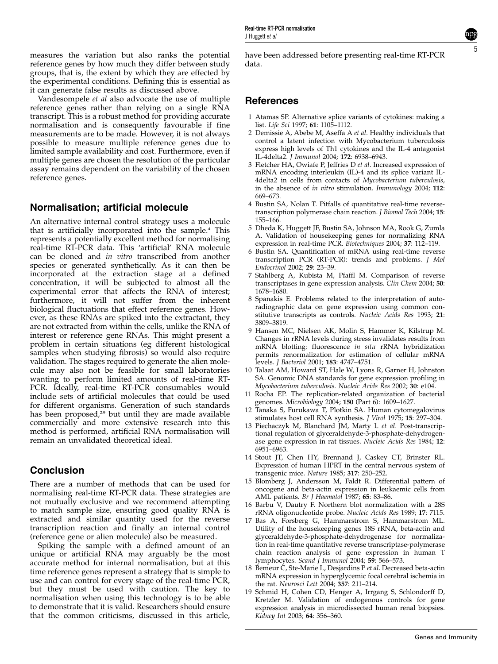measures the variation but also ranks the potential reference genes by how much they differ between study groups, that is, the extent by which they are effected by the experimental conditions. Defining this is essential as it can generate false results as discussed above.

Vandesompele et al also advocate the use of multiple reference genes rather than relying on a single RNA transcript. This is a robust method for providing accurate normalisation and is consequently favourable if fine measurements are to be made. However, it is not always possible to measure multiple reference genes due to limited sample availability and cost. Furthermore, even if multiple genes are chosen the resolution of the particular assay remains dependent on the variability of the chosen reference genes.

#### Normalisation; artificial molecule

An alternative internal control strategy uses a molecule that is artificially incorporated into the sample.<sup>4</sup> This represents a potentially excellent method for normalising real-time RT-PCR data. This 'artificial' RNA molecule can be cloned and in vitro transcribed from another species or generated synthetically. As it can then be incorporated at the extraction stage at a defined concentration, it will be subjected to almost all the experimental error that affects the RNA of interest; furthermore, it will not suffer from the inherent biological fluctuations that effect reference genes. However, as these RNAs are spiked into the extractant, they are not extracted from within the cells, unlike the RNA of interest or reference gene RNAs. This might present a problem in certain situations (eg different histological samples when studying fibrosis) so would also require validation. The stages required to generate the alien molecule may also not be feasible for small laboratories wanting to perform limited amounts of real-time RT-PCR. Ideally, real-time RT-PCR consumables would include sets of artificial molecules that could be used for different organisms. Generation of such standards has been proposed,<sup>29</sup> but until they are made available commercially and more extensive research into this method is performed, artificial RNA normalisation will remain an unvalidated theoretical ideal.

# **Conclusion**

There are a number of methods that can be used for normalising real-time RT-PCR data. These strategies are not mutually exclusive and we recommend attempting to match sample size, ensuring good quality RNA is extracted and similar quantity used for the reverse transcription reaction and finally an internal control (reference gene or alien molecule) also be measured.

Spiking the sample with a defined amount of an unique or artificial RNA may arguably be the most accurate method for internal normalisation, but at this time reference genes represent a strategy that is simple to use and can control for every stage of the real-time PCR, but they must be used with caution. The key to normalisation when using this technology is to be able to demonstrate that it is valid. Researchers should ensure that the common criticisms, discussed in this article,

have been addressed before presenting real-time RT-PCR data.

5

#### References

- 1 Atamas SP. Alternative splice variants of cytokines: making a list. Life Sci 1997; 61: 1105–1112.
- 2 Demissie A, Abebe M, Aseffa A et al. Healthy individuals that control a latent infection with Mycobacterium tuberculosis express high levels of Th1 cytokines and the IL-4 antagonist IL-4delta2. J Immunol 2004; 172: 6938–6943.
- 3 Fletcher HA, Owiafe P, Jeffries D et al. Increased expression of mRNA encoding interleukin (IL)-4 and its splice variant IL-4delta2 in cells from contacts of Mycobacterium tuberculosis, in the absence of in vitro stimulation. Immunology 2004; 112: 669–673.
- 4 Bustin SA, Nolan T. Pitfalls of quantitative real-time reversetranscription polymerase chain reaction. J Biomol Tech 2004; 15: 155–166.
- 5 Dheda K, Huggett JF, Bustin SA, Johnson MA, Rook G, Zumla A. Validation of housekeeping genes for normalizing RNA expression in real-time PCR. Biotechniques 2004; 37: 112-119.
- 6 Bustin SA. Quantification of mRNA using real-time reverse transcription PCR (RT-PCR): trends and problems. J Mol Endocrinol 2002; 29: 23–39.
- 7 Stahlberg A, Kubista M, Pfaffl M. Comparison of reverse transcriptases in gene expression analysis. Clin Chem 2004; 50: 1678–1680.
- 8 Spanakis E. Problems related to the interpretation of autoradiographic data on gene expression using common constitutive transcripts as controls. Nucleic Acids Res 1993; 21: 3809–3819.
- 9 Hansen MC, Nielsen AK, Molin S, Hammer K, Kilstrup M. Changes in rRNA levels during stress invalidates results from mRNA blotting: fluorescence in situ rRNA hybridization permits renormalization for estimation of cellular mRNA levels. J Bacteriol 2001; 183: 4747–4751.
- 10 Talaat AM, Howard ST, Hale W, Lyons R, Garner H, Johnston SA. Genomic DNA standards for gene expression profiling in Mycobacterium tuberculosis. Nucleic Acids Res 2002; 30: e104.
- 11 Rocha EP. The replication-related organization of bacterial genomes. Microbiology 2004; 150 (Part 6): 1609-1627.
- 12 Tanaka S, Furukawa T, Plotkin SA. Human cytomegalovirus stimulates host cell RNA synthesis. J Virol 1975; 15: 297–304.
- 13 Piechaczyk M, Blanchard JM, Marty L et al. Post-transcriptional regulation of glyceraldehyde-3-phosphate-dehydrogenase gene expression in rat tissues. Nucleic Acids Res 1984; 12: 6951–6963.
- 14 Stout JT, Chen HY, Brennand J, Caskey CT, Brinster RL. Expression of human HPRT in the central nervous system of transgenic mice. Nature 1985; 317: 250–252.
- 15 Blomberg J, Andersson M, Faldt R. Differential pattern of oncogene and beta-actin expression in leukaemic cells from AML patients. Br J Haematol 1987; 65: 83–86.
- 16 Barbu V, Dautry F. Northern blot normalization with a 28S rRNA oligonucleotide probe. Nucleic Acids Res 1989; 17: 7115.
- 17 Bas A, Forsberg G, Hammarstrom S, Hammarstrom ML. Utility of the housekeeping genes 18S rRNA, beta-actin and glyceraldehyde-3-phosphate-dehydrogenase for normalization in real-time quantitative reverse transcriptase-polymerase chain reaction analysis of gene expression in human T lymphocytes. Scand  $\tilde{I}$  Immunol 2004; 59: 566–573.
- 18 Bemeur C, Ste-Marie L, Desjardins P et al. Decreased beta-actin mRNA expression in hyperglycemic focal cerebral ischemia in the rat. Neurosci Lett 2004; 357: 211–214.
- Schmid H, Cohen CD, Henger A, Irrgang S, Schlondorff D, Kretzler M. Validation of endogenous controls for gene expression analysis in microdissected human renal biopsies. Kidney Int 2003; 64: 356–360.